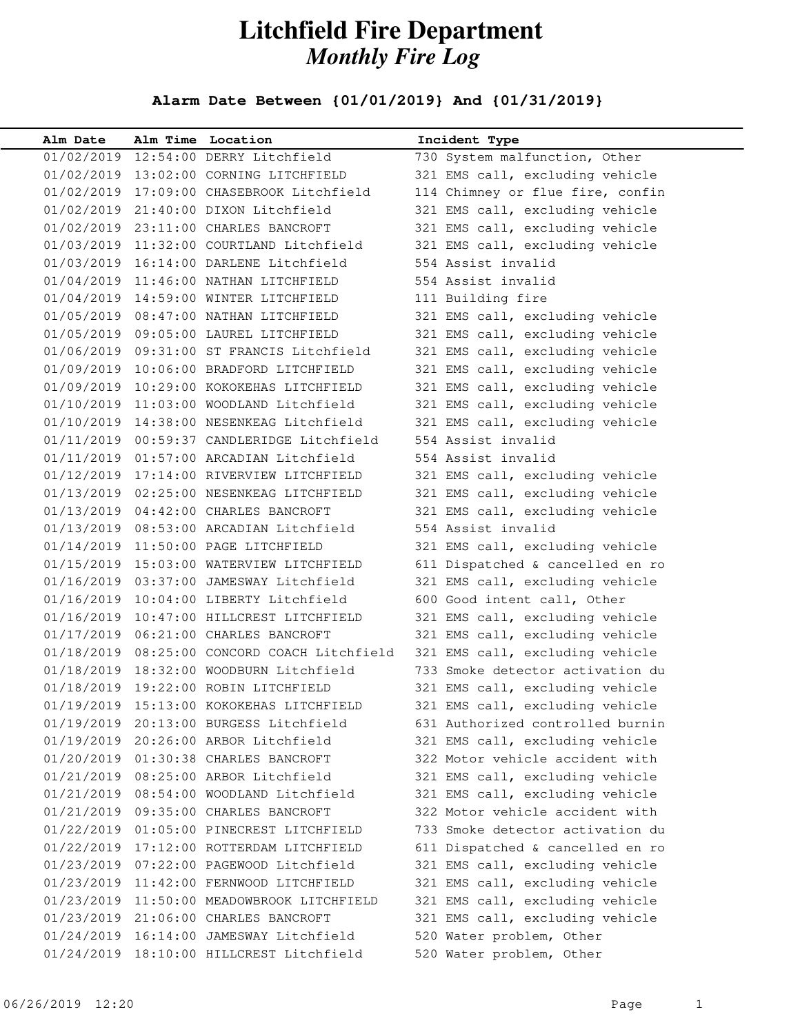## **Litchfield Fire Department** *Monthly Fire Log*

## **Alarm Date Between {01/01/2019} And {01/31/2019}**

| Alm Date   | Alm Time Location                            | Incident Type                    |
|------------|----------------------------------------------|----------------------------------|
|            | 01/02/2019 12:54:00 DERRY Litchfield         | 730 System malfunction, Other    |
|            | 01/02/2019 13:02:00 CORNING LITCHFIELD       | 321 EMS call, excluding vehicle  |
|            | 01/02/2019 17:09:00 CHASEBROOK Litchfield    | 114 Chimney or flue fire, confin |
|            | 01/02/2019 21:40:00 DIXON Litchfield         | 321 EMS call, excluding vehicle  |
|            | 01/02/2019 23:11:00 CHARLES BANCROFT         | 321 EMS call, excluding vehicle  |
|            | 01/03/2019 11:32:00 COURTLAND Litchfield     | 321 EMS call, excluding vehicle  |
|            | 01/03/2019 16:14:00 DARLENE Litchfield       | 554 Assist invalid               |
|            | 01/04/2019 11:46:00 NATHAN LITCHFIELD        | 554 Assist invalid               |
|            | 01/04/2019 14:59:00 WINTER LITCHFIELD        | 111 Building fire                |
|            | 01/05/2019 08:47:00 NATHAN LITCHFIELD        | 321 EMS call, excluding vehicle  |
|            | 01/05/2019 09:05:00 LAUREL LITCHFIELD        | 321 EMS call, excluding vehicle  |
|            | 01/06/2019 09:31:00 ST FRANCIS Litchfield    | 321 EMS call, excluding vehicle  |
|            | 01/09/2019 10:06:00 BRADFORD LITCHFIELD      | 321 EMS call, excluding vehicle  |
|            | 01/09/2019 10:29:00 KOKOKEHAS LITCHFIELD     | 321 EMS call, excluding vehicle  |
|            | 01/10/2019 11:03:00 WOODLAND Litchfield      | 321 EMS call, excluding vehicle  |
|            | 01/10/2019 14:38:00 NESENKEAG Litchfield     | 321 EMS call, excluding vehicle  |
|            | 01/11/2019 00:59:37 CANDLERIDGE Litchfield   | 554 Assist invalid               |
|            | 01/11/2019  01:57:00 ARCADIAN Litchfield     | 554 Assist invalid               |
|            | 01/12/2019 17:14:00 RIVERVIEW LITCHFIELD     | 321 EMS call, excluding vehicle  |
|            | 01/13/2019  02:25:00 NESENKEAG LITCHFIELD    | 321 EMS call, excluding vehicle  |
|            | 01/13/2019  04:42:00 CHARLES BANCROFT        | 321 EMS call, excluding vehicle  |
|            | 01/13/2019 08:53:00 ARCADIAN Litchfield      | 554 Assist invalid               |
|            | 01/14/2019 11:50:00 PAGE LITCHFIELD          | 321 EMS call, excluding vehicle  |
|            | 01/15/2019 15:03:00 WATERVIEW LITCHFIELD     | 611 Dispatched & cancelled en ro |
|            | 01/16/2019 03:37:00 JAMESWAY Litchfield      | 321 EMS call, excluding vehicle  |
|            | 01/16/2019 10:04:00 LIBERTY Litchfield       | 600 Good intent call, Other      |
|            | 01/16/2019 10:47:00 HILLCREST LITCHFIELD     | 321 EMS call, excluding vehicle  |
|            | 01/17/2019  06:21:00 CHARLES BANCROFT        | 321 EMS call, excluding vehicle  |
|            | 01/18/2019 08:25:00 CONCORD COACH Litchfield | 321 EMS call, excluding vehicle  |
|            | 01/18/2019 18:32:00 WOODBURN Litchfield      | 733 Smoke detector activation du |
|            | 01/18/2019 19:22:00 ROBIN LITCHFIELD         | 321 EMS call, excluding vehicle  |
|            | 01/19/2019 15:13:00 KOKOKEHAS LITCHFIELD     | 321 EMS call, excluding vehicle  |
| 01/19/2019 | 20:13:00 BURGESS Litchfield                  | 631 Authorized controlled burnin |
|            | 01/19/2019 20:26:00 ARBOR Litchfield         | 321 EMS call, excluding vehicle  |
|            | 01/20/2019  01:30:38 CHARLES BANCROFT        | 322 Motor vehicle accident with  |
|            | 01/21/2019 08:25:00 ARBOR Litchfield         | 321 EMS call, excluding vehicle  |
|            | 01/21/2019 08:54:00 WOODLAND Litchfield      | 321 EMS call, excluding vehicle  |
| 01/21/2019 | 09:35:00 CHARLES BANCROFT                    | 322 Motor vehicle accident with  |
| 01/22/2019 | 01:05:00 PINECREST LITCHFIELD                | 733 Smoke detector activation du |
|            | 01/22/2019 17:12:00 ROTTERDAM LITCHFIELD     | 611 Dispatched & cancelled en ro |
|            | 01/23/2019  07:22:00  PAGEWOOD Litchfield    | 321 EMS call, excluding vehicle  |
|            | 01/23/2019 11:42:00 FERNWOOD LITCHFIELD      | 321 EMS call, excluding vehicle  |
|            | 01/23/2019 11:50:00 MEADOWBROOK LITCHFIELD   | 321 EMS call, excluding vehicle  |
|            | 01/23/2019 21:06:00 CHARLES BANCROFT         | 321 EMS call, excluding vehicle  |
| 01/24/2019 | 16:14:00 JAMESWAY Litchfield                 | 520 Water problem, Other         |
| 01/24/2019 | 18:10:00 HILLCREST Litchfield                | 520 Water problem, Other         |